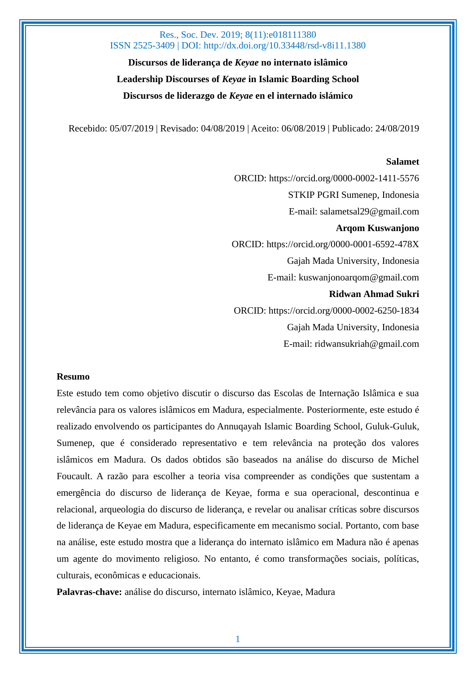**Discursos de liderança de** *Keyae* **no internato islâmico Leadership Discourses of** *Keyae* **in Islamic Boarding School Discursos de liderazgo de** *Keyae* **en el internado islámico**

Recebido: 05/07/2019 | Revisado: 04/08/2019 | Aceito: 06/08/2019 | Publicado: 24/08/2019

#### **Salamet**

ORCID: https://orcid.org/0000-0002-1411-5576 STKIP PGRI Sumenep, Indonesia E-mail: [salametsal29@gmail.com](mailto:salametsal29@gmail.com) **Arqom Kuswanjono** ORCID:<https://orcid.org/0000-0001-6592-478X> Gajah Mada University, Indonesia E-mail: [kuswanjonoarqom@gmail.com](mailto:kuswanjonoarqom@gmail.com) **Ridwan Ahmad Sukri** ORCID: https://orcid.org/0000-0002-6250-1834 Gajah Mada University, Indonesia E-mail: [ridwansukriah@gmail.com](mailto:ridwansukriah@gmail.com)

#### **Resumo**

Este estudo tem como objetivo discutir o discurso das Escolas de Internação Islâmica e sua relevância para os valores islâmicos em Madura, especialmente. Posteriormente, este estudo é realizado envolvendo os participantes do Annuqayah Islamic Boarding School, Guluk-Guluk, Sumenep, que é considerado representativo e tem relevância na proteção dos valores islâmicos em Madura. Os dados obtidos são baseados na análise do discurso de Michel Foucault. A razão para escolher a teoria visa compreender as condições que sustentam a emergência do discurso de liderança de Keyae, forma e sua operacional, descontinua e relacional, arqueologia do discurso de liderança, e revelar ou analisar críticas sobre discursos de liderança de Keyae em Madura, especificamente em mecanismo social. Portanto, com base na análise, este estudo mostra que a liderança do internato islâmico em Madura não é apenas um agente do movimento religioso. No entanto, é como transformações sociais, políticas, culturais, econômicas e educacionais.

**Palavras-chave:** análise do discurso, internato islâmico, Keyae, Madura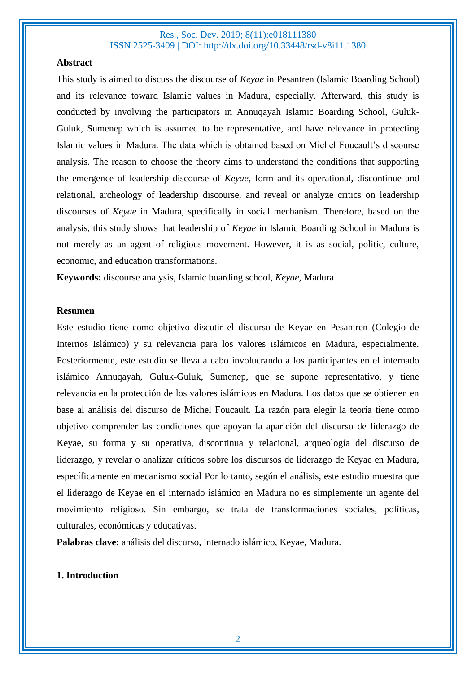#### **Abstract**

This study is aimed to discuss the discourse of *Keyae* in Pesantren (Islamic Boarding School) and its relevance toward Islamic values in Madura, especially. Afterward, this study is conducted by involving the participators in Annuqayah Islamic Boarding School, Guluk-Guluk, Sumenep which is assumed to be representative, and have relevance in protecting Islamic values in Madura. The data which is obtained based on Michel Foucault's discourse analysis. The reason to choose the theory aims to understand the conditions that supporting the emergence of leadership discourse of *Keyae*, form and its operational, discontinue and relational, archeology of leadership discourse, and reveal or analyze critics on leadership discourses of *Keyae* in Madura, specifically in social mechanism. Therefore, based on the analysis, this study shows that leadership of *Keyae* in Islamic Boarding School in Madura is not merely as an agent of religious movement. However, it is as social, politic, culture, economic, and education transformations.

**Keywords:** discourse analysis, Islamic boarding school, *Keyae,* Madura

#### **Resumen**

Este estudio tiene como objetivo discutir el discurso de Keyae en Pesantren (Colegio de Internos Islámico) y su relevancia para los valores islámicos en Madura, especialmente. Posteriormente, este estudio se lleva a cabo involucrando a los participantes en el internado islámico Annuqayah, Guluk-Guluk, Sumenep, que se supone representativo, y tiene relevancia en la protección de los valores islámicos en Madura. Los datos que se obtienen en base al análisis del discurso de Michel Foucault. La razón para elegir la teoría tiene como objetivo comprender las condiciones que apoyan la aparición del discurso de liderazgo de Keyae, su forma y su operativa, discontinua y relacional, arqueología del discurso de liderazgo, y revelar o analizar críticos sobre los discursos de liderazgo de Keyae en Madura, específicamente en mecanismo social Por lo tanto, según el análisis, este estudio muestra que el liderazgo de Keyae en el internado islámico en Madura no es simplemente un agente del movimiento religioso. Sin embargo, se trata de transformaciones sociales, políticas, culturales, económicas y educativas.

**Palabras clave:** análisis del discurso, internado islámico, Keyae, Madura.

## **1. Introduction**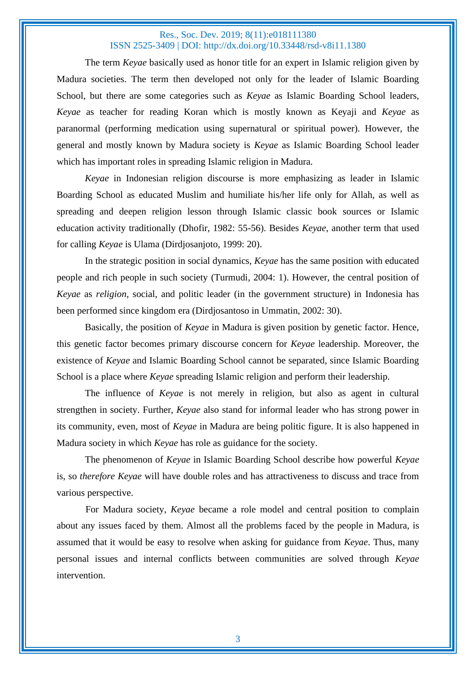The term *Keyae* basically used as honor title for an expert in Islamic religion given by Madura societies. The term then developed not only for the leader of Islamic Boarding School, but there are some categories such as *Keyae* as Islamic Boarding School leaders, *Keyae* as teacher for reading Koran which is mostly known as Keyaji and *Keyae* as paranormal (performing medication using supernatural or spiritual power). However, the general and mostly known by Madura society is *Keyae* as Islamic Boarding School leader which has important roles in spreading Islamic religion in Madura.

*Keyae* in Indonesian religion discourse is more emphasizing as leader in Islamic Boarding School as educated Muslim and humiliate his/her life only for Allah, as well as spreading and deepen religion lesson through Islamic classic book sources or Islamic education activity traditionally (Dhofir, 1982: 55-56). Besides *Keyae*, another term that used for calling *Keyae* is Ulama (Dirdjosanjoto, 1999: 20).

In the strategic position in social dynamics, *Keyae* has the same position with educated people and rich people in such society (Turmudi, 2004: 1). However, the central position of *Keyae* as *religion*, social, and politic leader (in the government structure) in Indonesia has been performed since kingdom era (Dirdjosantoso in Ummatin, 2002: 30).

Basically, the position of *Keyae* in Madura is given position by genetic factor. Hence, this genetic factor becomes primary discourse concern for *Keyae* leadership. Moreover, the existence of *Keyae* and Islamic Boarding School cannot be separated, since Islamic Boarding School is a place where *Keyae* spreading Islamic religion and perform their leadership.

The influence of *Keyae* is not merely in religion, but also as agent in cultural strengthen in society. Further, *Keyae* also stand for informal leader who has strong power in its community, even, most of *Keyae* in Madura are being politic figure. It is also happened in Madura society in which *Keyae* has role as guidance for the society.

The phenomenon of *Keyae* in Islamic Boarding School describe how powerful *Keyae* is, so *therefore Keyae* will have double roles and has attractiveness to discuss and trace from various perspective.

For Madura society, *Keyae* became a role model and central position to complain about any issues faced by them. Almost all the problems faced by the people in Madura, is assumed that it would be easy to resolve when asking for guidance from *Keyae*. Thus, many personal issues and internal conflicts between communities are solved through *Keyae* intervention.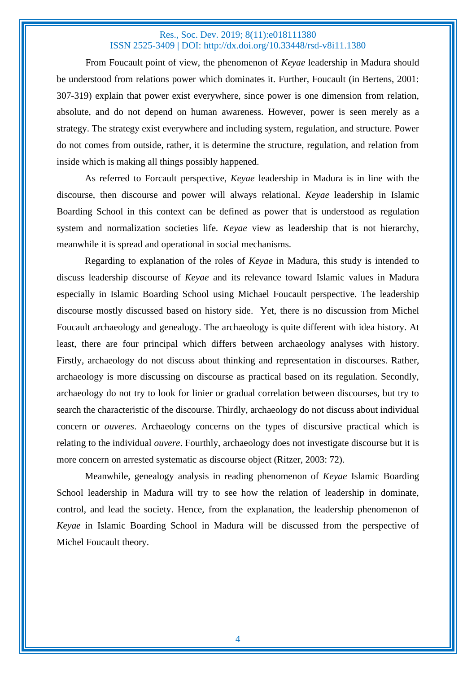From Foucault point of view, the phenomenon of *Keyae* leadership in Madura should be understood from relations power which dominates it. Further, Foucault (in Bertens, 2001: 307-319) explain that power exist everywhere, since power is one dimension from relation, absolute, and do not depend on human awareness. However, power is seen merely as a strategy. The strategy exist everywhere and including system, regulation, and structure. Power do not comes from outside, rather, it is determine the structure, regulation, and relation from inside which is making all things possibly happened.

As referred to Forcault perspective, *Keyae* leadership in Madura is in line with the discourse, then discourse and power will always relational. *Keyae* leadership in Islamic Boarding School in this context can be defined as power that is understood as regulation system and normalization societies life. *Keyae* view as leadership that is not hierarchy, meanwhile it is spread and operational in social mechanisms.

Regarding to explanation of the roles of *Keyae* in Madura, this study is intended to discuss leadership discourse of *Keyae* and its relevance toward Islamic values in Madura especially in Islamic Boarding School using Michael Foucault perspective. The leadership discourse mostly discussed based on history side. Yet, there is no discussion from Michel Foucault archaeology and genealogy. The archaeology is quite different with idea history. At least, there are four principal which differs between archaeology analyses with history. Firstly, archaeology do not discuss about thinking and representation in discourses. Rather, archaeology is more discussing on discourse as practical based on its regulation. Secondly, archaeology do not try to look for linier or gradual correlation between discourses, but try to search the characteristic of the discourse. Thirdly, archaeology do not discuss about individual concern or *ouveres*. Archaeology concerns on the types of discursive practical which is relating to the individual *ouvere*. Fourthly, archaeology does not investigate discourse but it is more concern on arrested systematic as discourse object (Ritzer, 2003: 72).

Meanwhile, genealogy analysis in reading phenomenon of *Keyae* Islamic Boarding School leadership in Madura will try to see how the relation of leadership in dominate, control, and lead the society. Hence, from the explanation, the leadership phenomenon of *Keyae* in Islamic Boarding School in Madura will be discussed from the perspective of Michel Foucault theory.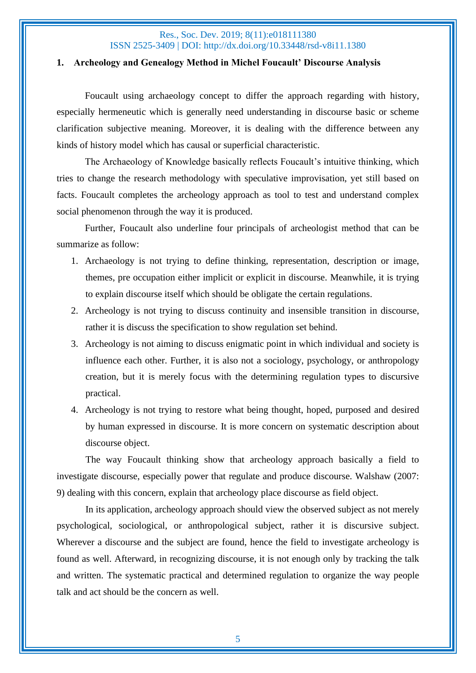#### **1. Archeology and Genealogy Method in Michel Foucault' Discourse Analysis**

Foucault using archaeology concept to differ the approach regarding with history, especially hermeneutic which is generally need understanding in discourse basic or scheme clarification subjective meaning. Moreover, it is dealing with the difference between any kinds of history model which has causal or superficial characteristic.

The Archaeology of Knowledge basically reflects Foucault's intuitive thinking, which tries to change the research methodology with speculative improvisation, yet still based on facts. Foucault completes the archeology approach as tool to test and understand complex social phenomenon through the way it is produced.

Further, Foucault also underline four principals of archeologist method that can be summarize as follow:

- 1. Archaeology is not trying to define thinking, representation, description or image, themes, pre occupation either implicit or explicit in discourse. Meanwhile, it is trying to explain discourse itself which should be obligate the certain regulations.
- 2. Archeology is not trying to discuss continuity and insensible transition in discourse, rather it is discuss the specification to show regulation set behind.
- 3. Archeology is not aiming to discuss enigmatic point in which individual and society is influence each other. Further, it is also not a sociology, psychology, or anthropology creation, but it is merely focus with the determining regulation types to discursive practical.
- 4. Archeology is not trying to restore what being thought, hoped, purposed and desired by human expressed in discourse. It is more concern on systematic description about discourse object.

The way Foucault thinking show that archeology approach basically a field to investigate discourse, especially power that regulate and produce discourse. Walshaw (2007: 9) dealing with this concern, explain that archeology place discourse as field object.

In its application, archeology approach should view the observed subject as not merely psychological, sociological, or anthropological subject, rather it is discursive subject. Wherever a discourse and the subject are found, hence the field to investigate archeology is found as well. Afterward, in recognizing discourse, it is not enough only by tracking the talk and written. The systematic practical and determined regulation to organize the way people talk and act should be the concern as well.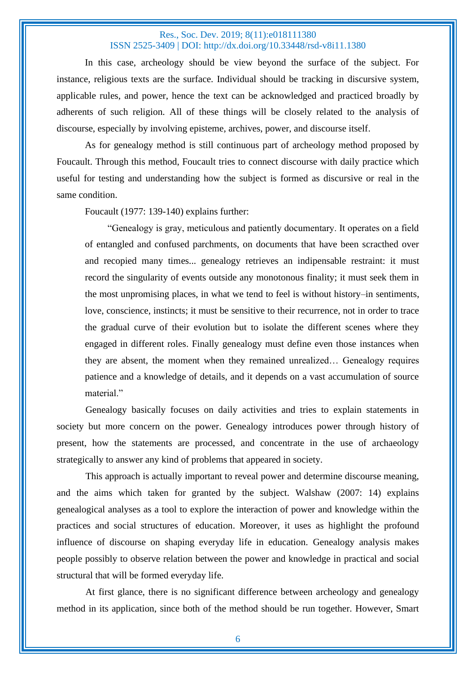In this case, archeology should be view beyond the surface of the subject. For instance, religious texts are the surface. Individual should be tracking in discursive system, applicable rules, and power, hence the text can be acknowledged and practiced broadly by adherents of such religion. All of these things will be closely related to the analysis of discourse, especially by involving episteme, archives, power, and discourse itself.

As for genealogy method is still continuous part of archeology method proposed by Foucault. Through this method, Foucault tries to connect discourse with daily practice which useful for testing and understanding how the subject is formed as discursive or real in the same condition.

Foucault (1977: 139-140) explains further:

"Genealogy is gray, meticulous and patiently documentary. It operates on a field of entangled and confused parchments, on documents that have been scracthed over and recopied many times... genealogy retrieves an indipensable restraint: it must record the singularity of events outside any monotonous finality; it must seek them in the most unpromising places, in what we tend to feel is without history–in sentiments, love, conscience, instincts; it must be sensitive to their recurrence, not in order to trace the gradual curve of their evolution but to isolate the different scenes where they engaged in different roles. Finally genealogy must define even those instances when they are absent, the moment when they remained unrealized… Genealogy requires patience and a knowledge of details, and it depends on a vast accumulation of source material."

Genealogy basically focuses on daily activities and tries to explain statements in society but more concern on the power. Genealogy introduces power through history of present, how the statements are processed, and concentrate in the use of archaeology strategically to answer any kind of problems that appeared in society.

This approach is actually important to reveal power and determine discourse meaning, and the aims which taken for granted by the subject. Walshaw (2007: 14) explains genealogical analyses as a tool to explore the interaction of power and knowledge within the practices and social structures of education. Moreover, it uses as highlight the profound influence of discourse on shaping everyday life in education. Genealogy analysis makes people possibly to observe relation between the power and knowledge in practical and social structural that will be formed everyday life.

At first glance, there is no significant difference between archeology and genealogy method in its application, since both of the method should be run together. However, Smart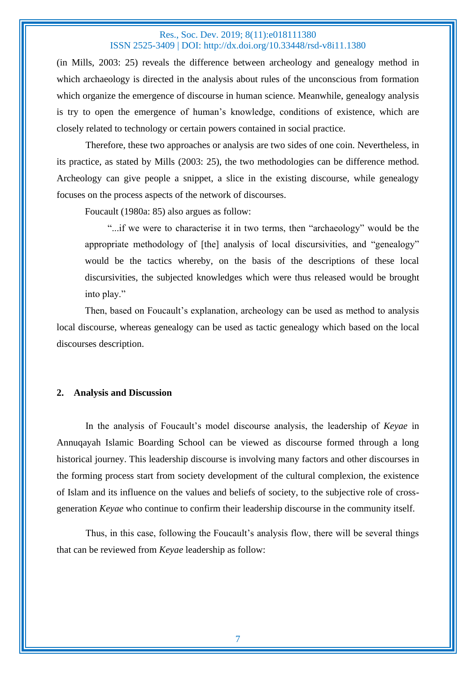(in Mills, 2003: 25) reveals the difference between archeology and genealogy method in which archaeology is directed in the analysis about rules of the unconscious from formation which organize the emergence of discourse in human science. Meanwhile, genealogy analysis is try to open the emergence of human's knowledge, conditions of existence, which are closely related to technology or certain powers contained in social practice.

Therefore, these two approaches or analysis are two sides of one coin. Nevertheless, in its practice, as stated by Mills (2003: 25), the two methodologies can be difference method. Archeology can give people a snippet, a slice in the existing discourse, while genealogy focuses on the process aspects of the network of discourses.

Foucault (1980a: 85) also argues as follow:

"...if we were to characterise it in two terms, then "archaeology" would be the appropriate methodology of [the] analysis of local discursivities, and "genealogy" would be the tactics whereby, on the basis of the descriptions of these local discursivities, the subjected knowledges which were thus released would be brought into play."

Then, based on Foucault's explanation, archeology can be used as method to analysis local discourse, whereas genealogy can be used as tactic genealogy which based on the local discourses description.

#### **2. Analysis and Discussion**

In the analysis of Foucault's model discourse analysis, the leadership of *Keyae* in Annuqayah Islamic Boarding School can be viewed as discourse formed through a long historical journey. This leadership discourse is involving many factors and other discourses in the forming process start from society development of the cultural complexion, the existence of Islam and its influence on the values and beliefs of society, to the subjective role of crossgeneration *Keyae* who continue to confirm their leadership discourse in the community itself.

Thus, in this case, following the Foucault's analysis flow, there will be several things that can be reviewed from *Keyae* leadership as follow: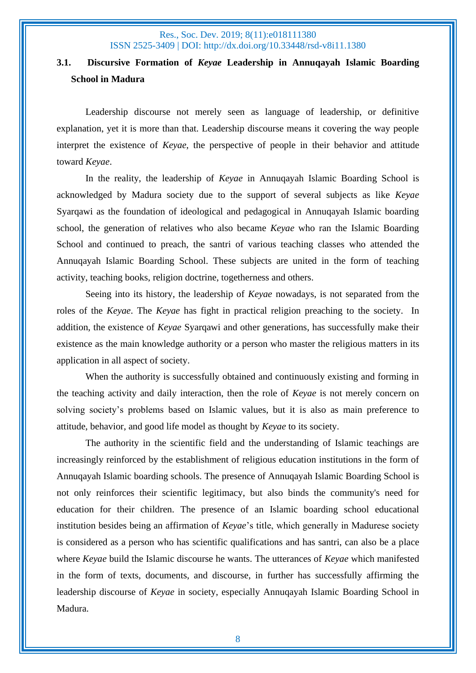# **3.1. Discursive Formation of** *Keyae* **Leadership in Annuqayah Islamic Boarding School in Madura**

Leadership discourse not merely seen as language of leadership, or definitive explanation, yet it is more than that. Leadership discourse means it covering the way people interpret the existence of *Keyae*, the perspective of people in their behavior and attitude toward *Keyae*.

In the reality, the leadership of *Keyae* in Annuqayah Islamic Boarding School is acknowledged by Madura society due to the support of several subjects as like *Keyae* Syarqawi as the foundation of ideological and pedagogical in Annuqayah Islamic boarding school, the generation of relatives who also became *Keyae* who ran the Islamic Boarding School and continued to preach, the santri of various teaching classes who attended the Annuqayah Islamic Boarding School. These subjects are united in the form of teaching activity, teaching books, religion doctrine, togetherness and others.

Seeing into its history, the leadership of *Keyae* nowadays, is not separated from the roles of the *Keyae*. The *Keyae* has fight in practical religion preaching to the society. In addition, the existence of *Keyae* Syarqawi and other generations, has successfully make their existence as the main knowledge authority or a person who master the religious matters in its application in all aspect of society.

When the authority is successfully obtained and continuously existing and forming in the teaching activity and daily interaction, then the role of *Keyae* is not merely concern on solving society's problems based on Islamic values, but it is also as main preference to attitude, behavior, and good life model as thought by *Keyae* to its society.

The authority in the scientific field and the understanding of Islamic teachings are increasingly reinforced by the establishment of religious education institutions in the form of Annuqayah Islamic boarding schools. The presence of Annuqayah Islamic Boarding School is not only reinforces their scientific legitimacy, but also binds the community's need for education for their children. The presence of an Islamic boarding school educational institution besides being an affirmation of *Keyae*'s title, which generally in Madurese society is considered as a person who has scientific qualifications and has santri, can also be a place where *Keyae* build the Islamic discourse he wants. The utterances of *Keyae* which manifested in the form of texts, documents, and discourse, in further has successfully affirming the leadership discourse of *Keyae* in society, especially Annuqayah Islamic Boarding School in Madura.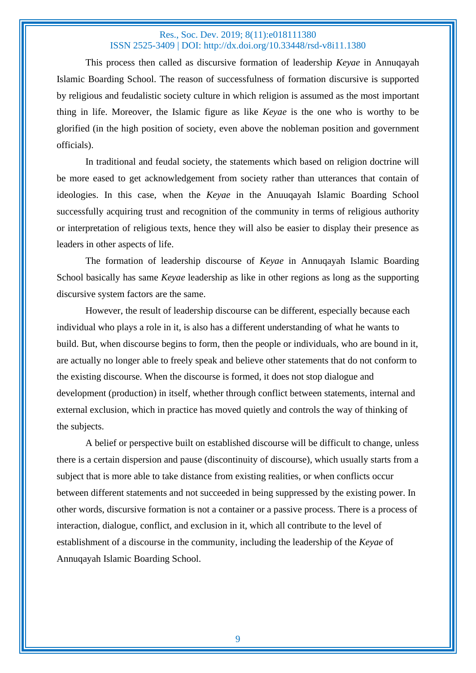This process then called as discursive formation of leadership *Keyae* in Annuqayah Islamic Boarding School. The reason of successfulness of formation discursive is supported by religious and feudalistic society culture in which religion is assumed as the most important thing in life. Moreover, the Islamic figure as like *Keyae* is the one who is worthy to be glorified (in the high position of society, even above the nobleman position and government officials).

In traditional and feudal society, the statements which based on religion doctrine will be more eased to get acknowledgement from society rather than utterances that contain of ideologies. In this case, when the *Keyae* in the Anuuqayah Islamic Boarding School successfully acquiring trust and recognition of the community in terms of religious authority or interpretation of religious texts, hence they will also be easier to display their presence as leaders in other aspects of life.

The formation of leadership discourse of *Keyae* in Annuqayah Islamic Boarding School basically has same *Keyae* leadership as like in other regions as long as the supporting discursive system factors are the same.

However, the result of leadership discourse can be different, especially because each individual who plays a role in it, is also has a different understanding of what he wants to build. But, when discourse begins to form, then the people or individuals, who are bound in it, are actually no longer able to freely speak and believe other statements that do not conform to the existing discourse. When the discourse is formed, it does not stop dialogue and development (production) in itself, whether through conflict between statements, internal and external exclusion, which in practice has moved quietly and controls the way of thinking of the subjects.

A belief or perspective built on established discourse will be difficult to change, unless there is a certain dispersion and pause (discontinuity of discourse), which usually starts from a subject that is more able to take distance from existing realities, or when conflicts occur between different statements and not succeeded in being suppressed by the existing power. In other words, discursive formation is not a container or a passive process. There is a process of interaction, dialogue, conflict, and exclusion in it, which all contribute to the level of establishment of a discourse in the community, including the leadership of the *Keyae* of Annuqayah Islamic Boarding School.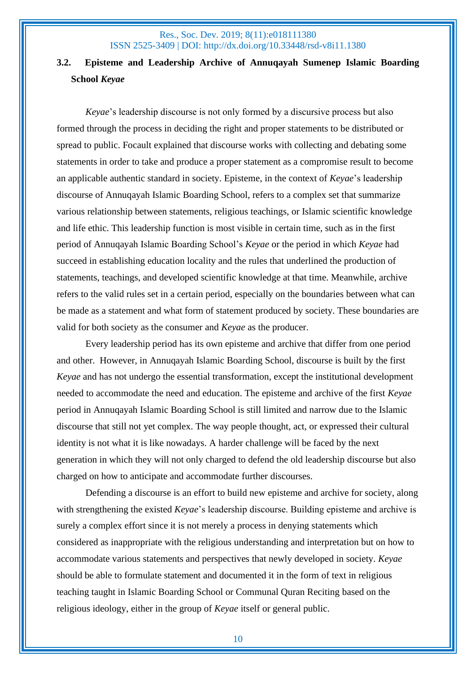# **3.2. Episteme and Leadership Archive of Annuqayah Sumenep Islamic Boarding School** *Keyae*

*Keyae*'s leadership discourse is not only formed by a discursive process but also formed through the process in deciding the right and proper statements to be distributed or spread to public. Focault explained that discourse works with collecting and debating some statements in order to take and produce a proper statement as a compromise result to become an applicable authentic standard in society. Episteme, in the context of *Keyae*'s leadership discourse of Annuqayah Islamic Boarding School, refers to a complex set that summarize various relationship between statements, religious teachings, or Islamic scientific knowledge and life ethic. This leadership function is most visible in certain time, such as in the first period of Annuqayah Islamic Boarding School's *Keyae* or the period in which *Keyae* had succeed in establishing education locality and the rules that underlined the production of statements, teachings, and developed scientific knowledge at that time. Meanwhile, archive refers to the valid rules set in a certain period, especially on the boundaries between what can be made as a statement and what form of statement produced by society. These boundaries are valid for both society as the consumer and *Keyae* as the producer.

Every leadership period has its own episteme and archive that differ from one period and other. However, in Annuqayah Islamic Boarding School, discourse is built by the first *Keyae* and has not undergo the essential transformation, except the institutional development needed to accommodate the need and education. The episteme and archive of the first *Keyae* period in Annuqayah Islamic Boarding School is still limited and narrow due to the Islamic discourse that still not yet complex. The way people thought, act, or expressed their cultural identity is not what it is like nowadays. A harder challenge will be faced by the next generation in which they will not only charged to defend the old leadership discourse but also charged on how to anticipate and accommodate further discourses.

Defending a discourse is an effort to build new episteme and archive for society, along with strengthening the existed *Keyae*'s leadership discourse. Building episteme and archive is surely a complex effort since it is not merely a process in denying statements which considered as inappropriate with the religious understanding and interpretation but on how to accommodate various statements and perspectives that newly developed in society. *Keyae* should be able to formulate statement and documented it in the form of text in religious teaching taught in Islamic Boarding School or Communal Quran Reciting based on the religious ideology, either in the group of *Keyae* itself or general public.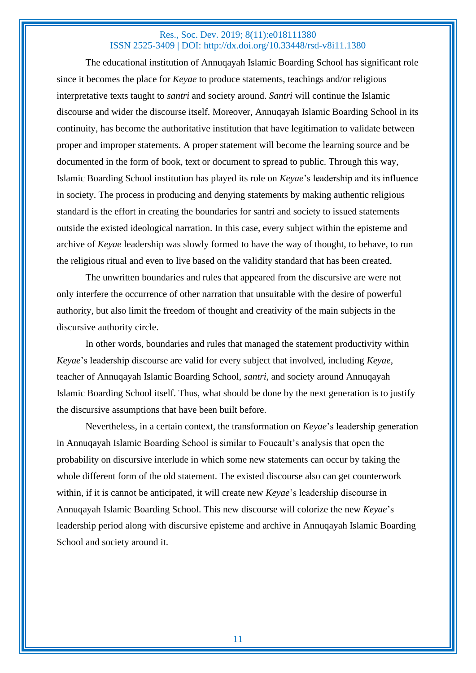The educational institution of Annuqayah Islamic Boarding School has significant role since it becomes the place for *Keyae* to produce statements, teachings and/or religious interpretative texts taught to *santri* and society around. *Santri* will continue the Islamic discourse and wider the discourse itself. Moreover, Annuqayah Islamic Boarding School in its continuity, has become the authoritative institution that have legitimation to validate between proper and improper statements. A proper statement will become the learning source and be documented in the form of book, text or document to spread to public. Through this way, Islamic Boarding School institution has played its role on *Keyae*'s leadership and its influence in society. The process in producing and denying statements by making authentic religious standard is the effort in creating the boundaries for santri and society to issued statements outside the existed ideological narration. In this case, every subject within the episteme and archive of *Keyae* leadership was slowly formed to have the way of thought, to behave, to run the religious ritual and even to live based on the validity standard that has been created.

The unwritten boundaries and rules that appeared from the discursive are were not only interfere the occurrence of other narration that unsuitable with the desire of powerful authority, but also limit the freedom of thought and creativity of the main subjects in the discursive authority circle.

In other words, boundaries and rules that managed the statement productivity within *Keyae*'s leadership discourse are valid for every subject that involved, including *Keyae*, teacher of Annuqayah Islamic Boarding School, *santri*, and society around Annuqayah Islamic Boarding School itself. Thus, what should be done by the next generation is to justify the discursive assumptions that have been built before.

Nevertheless, in a certain context, the transformation on *Keyae*'s leadership generation in Annuqayah Islamic Boarding School is similar to Foucault's analysis that open the probability on discursive interlude in which some new statements can occur by taking the whole different form of the old statement. The existed discourse also can get counterwork within, if it is cannot be anticipated, it will create new *Keyae*'s leadership discourse in Annuqayah Islamic Boarding School. This new discourse will colorize the new *Keyae*'s leadership period along with discursive episteme and archive in Annuqayah Islamic Boarding School and society around it.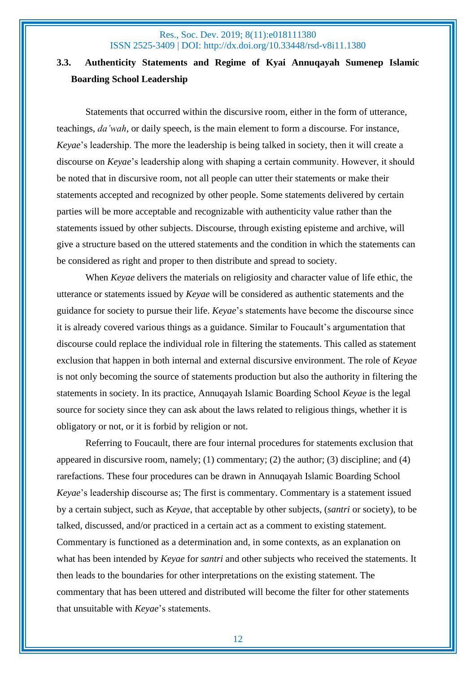## **3.3. Authenticity Statements and Regime of Kyai Annuqayah Sumenep Islamic Boarding School Leadership**

Statements that occurred within the discursive room, either in the form of utterance, teachings, *da'wah*, or daily speech, is the main element to form a discourse. For instance, *Keyae*'s leadership. The more the leadership is being talked in society, then it will create a discourse on *Keyae*'s leadership along with shaping a certain community. However, it should be noted that in discursive room, not all people can utter their statements or make their statements accepted and recognized by other people. Some statements delivered by certain parties will be more acceptable and recognizable with authenticity value rather than the statements issued by other subjects. Discourse, through existing episteme and archive, will give a structure based on the uttered statements and the condition in which the statements can be considered as right and proper to then distribute and spread to society.

When *Keyae* delivers the materials on religiosity and character value of life ethic, the utterance or statements issued by *Keyae* will be considered as authentic statements and the guidance for society to pursue their life. *Keyae*'s statements have become the discourse since it is already covered various things as a guidance. Similar to Foucault's argumentation that discourse could replace the individual role in filtering the statements. This called as statement exclusion that happen in both internal and external discursive environment. The role of *Keyae* is not only becoming the source of statements production but also the authority in filtering the statements in society. In its practice, Annuqayah Islamic Boarding School *Keyae* is the legal source for society since they can ask about the laws related to religious things, whether it is obligatory or not, or it is forbid by religion or not.

Referring to Foucault, there are four internal procedures for statements exclusion that appeared in discursive room, namely; (1) commentary; (2) the author; (3) discipline; and (4) rarefactions. These four procedures can be drawn in Annuqayah Islamic Boarding School *Keyae*'s leadership discourse as; The first is commentary. Commentary is a statement issued by a certain subject, such as *Keyae*, that acceptable by other subjects, (*santri* or society), to be talked, discussed, and/or practiced in a certain act as a comment to existing statement. Commentary is functioned as a determination and, in some contexts, as an explanation on what has been intended by *Keyae* for *santri* and other subjects who received the statements. It then leads to the boundaries for other interpretations on the existing statement. The commentary that has been uttered and distributed will become the filter for other statements that unsuitable with *Keyae*'s statements.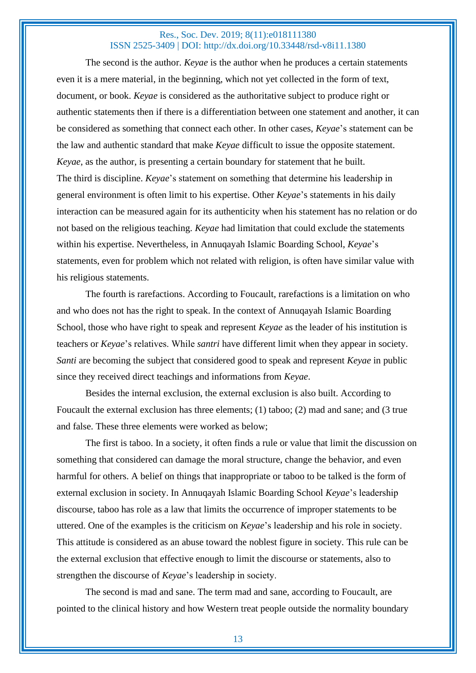The second is the author. *Keyae* is the author when he produces a certain statements even it is a mere material, in the beginning, which not yet collected in the form of text, document, or book. *Keyae* is considered as the authoritative subject to produce right or authentic statements then if there is a differentiation between one statement and another, it can be considered as something that connect each other. In other cases, *Keyae*'s statement can be the law and authentic standard that make *Keyae* difficult to issue the opposite statement. *Keyae*, as the author, is presenting a certain boundary for statement that he built. The third is discipline. *Keyae*'s statement on something that determine his leadership in general environment is often limit to his expertise. Other *Keyae*'s statements in his daily interaction can be measured again for its authenticity when his statement has no relation or do not based on the religious teaching. *Keyae* had limitation that could exclude the statements within his expertise. Nevertheless, in Annuqayah Islamic Boarding School, *Keyae*'s statements, even for problem which not related with religion, is often have similar value with his religious statements.

The fourth is rarefactions. According to Foucault, rarefactions is a limitation on who and who does not has the right to speak. In the context of Annuqayah Islamic Boarding School, those who have right to speak and represent *Keyae* as the leader of his institution is teachers or *Keyae*'s relatives. While *santri* have different limit when they appear in society. *Santi* are becoming the subject that considered good to speak and represent *Keyae* in public since they received direct teachings and informations from *Keyae*.

Besides the internal exclusion, the external exclusion is also built. According to Foucault the external exclusion has three elements; (1) taboo; (2) mad and sane; and (3 true and false. These three elements were worked as below;

The first is taboo. In a society, it often finds a rule or value that limit the discussion on something that considered can damage the moral structure, change the behavior, and even harmful for others. A belief on things that inappropriate or taboo to be talked is the form of external exclusion in society. In Annuqayah Islamic Boarding School *Keyae*'s leadership discourse, taboo has role as a law that limits the occurrence of improper statements to be uttered. One of the examples is the criticism on *Keyae*'s leadership and his role in society. This attitude is considered as an abuse toward the noblest figure in society. This rule can be the external exclusion that effective enough to limit the discourse or statements, also to strengthen the discourse of *Keyae*'s leadership in society.

The second is mad and sane. The term mad and sane, according to Foucault, are pointed to the clinical history and how Western treat people outside the normality boundary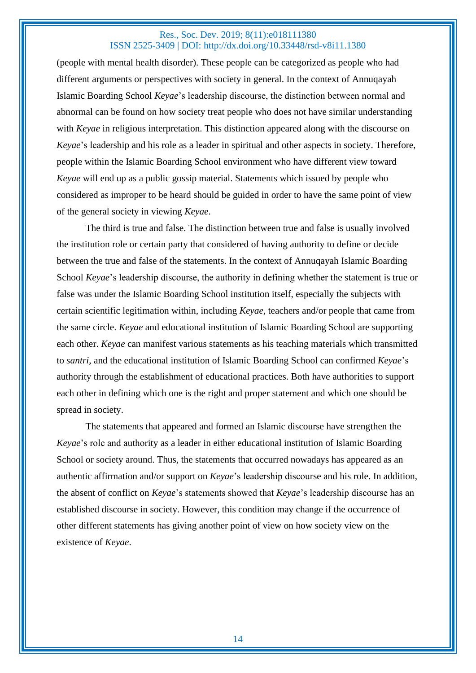(people with mental health disorder). These people can be categorized as people who had different arguments or perspectives with society in general. In the context of Annuqayah Islamic Boarding School *Keyae*'s leadership discourse, the distinction between normal and abnormal can be found on how society treat people who does not have similar understanding with *Keyae* in religious interpretation. This distinction appeared along with the discourse on *Keyae*'s leadership and his role as a leader in spiritual and other aspects in society. Therefore, people within the Islamic Boarding School environment who have different view toward *Keyae* will end up as a public gossip material. Statements which issued by people who considered as improper to be heard should be guided in order to have the same point of view of the general society in viewing *Keyae*.

The third is true and false. The distinction between true and false is usually involved the institution role or certain party that considered of having authority to define or decide between the true and false of the statements. In the context of Annuqayah Islamic Boarding School *Keyae*'s leadership discourse, the authority in defining whether the statement is true or false was under the Islamic Boarding School institution itself, especially the subjects with certain scientific legitimation within, including *Keyae*, teachers and/or people that came from the same circle. *Keyae* and educational institution of Islamic Boarding School are supporting each other. *Keyae* can manifest various statements as his teaching materials which transmitted to *santri*, and the educational institution of Islamic Boarding School can confirmed *Keyae*'s authority through the establishment of educational practices. Both have authorities to support each other in defining which one is the right and proper statement and which one should be spread in society.

The statements that appeared and formed an Islamic discourse have strengthen the *Keyae*'s role and authority as a leader in either educational institution of Islamic Boarding School or society around. Thus, the statements that occurred nowadays has appeared as an authentic affirmation and/or support on *Keyae*'s leadership discourse and his role. In addition, the absent of conflict on *Keyae*'s statements showed that *Keyae*'s leadership discourse has an established discourse in society. However, this condition may change if the occurrence of other different statements has giving another point of view on how society view on the existence of *Keyae*.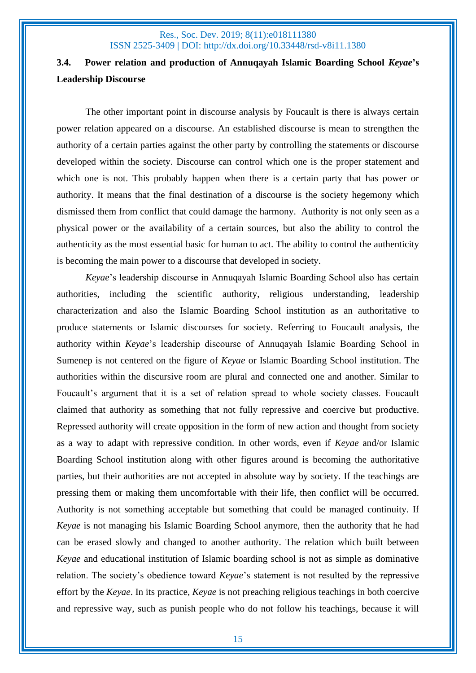# **3.4. Power relation and production of Annuqayah Islamic Boarding School** *Keyae***'s Leadership Discourse**

The other important point in discourse analysis by Foucault is there is always certain power relation appeared on a discourse. An established discourse is mean to strengthen the authority of a certain parties against the other party by controlling the statements or discourse developed within the society. Discourse can control which one is the proper statement and which one is not. This probably happen when there is a certain party that has power or authority. It means that the final destination of a discourse is the society hegemony which dismissed them from conflict that could damage the harmony. Authority is not only seen as a physical power or the availability of a certain sources, but also the ability to control the authenticity as the most essential basic for human to act. The ability to control the authenticity is becoming the main power to a discourse that developed in society.

*Keyae*'s leadership discourse in Annuqayah Islamic Boarding School also has certain authorities, including the scientific authority, religious understanding, leadership characterization and also the Islamic Boarding School institution as an authoritative to produce statements or Islamic discourses for society. Referring to Foucault analysis, the authority within *Keyae*'s leadership discourse of Annuqayah Islamic Boarding School in Sumenep is not centered on the figure of *Keyae* or Islamic Boarding School institution. The authorities within the discursive room are plural and connected one and another. Similar to Foucault's argument that it is a set of relation spread to whole society classes. Foucault claimed that authority as something that not fully repressive and coercive but productive. Repressed authority will create opposition in the form of new action and thought from society as a way to adapt with repressive condition. In other words, even if *Keyae* and/or Islamic Boarding School institution along with other figures around is becoming the authoritative parties, but their authorities are not accepted in absolute way by society. If the teachings are pressing them or making them uncomfortable with their life, then conflict will be occurred. Authority is not something acceptable but something that could be managed continuity. If *Keyae* is not managing his Islamic Boarding School anymore, then the authority that he had can be erased slowly and changed to another authority. The relation which built between *Keyae* and educational institution of Islamic boarding school is not as simple as dominative relation. The society's obedience toward *Keyae*'s statement is not resulted by the repressive effort by the *Keyae*. In its practice, *Keyae* is not preaching religious teachings in both coercive and repressive way, such as punish people who do not follow his teachings, because it will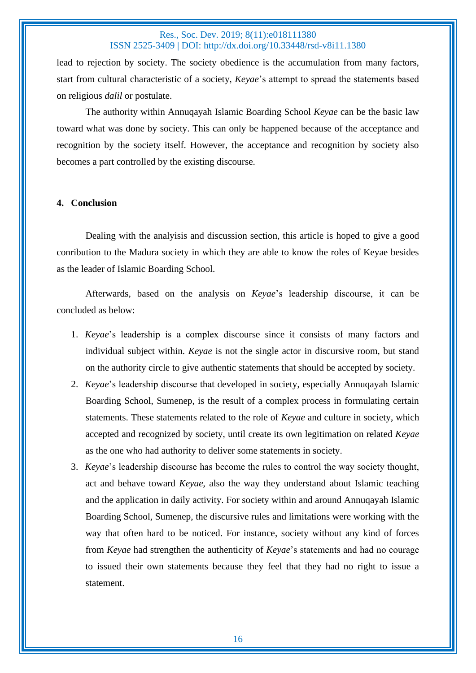lead to rejection by society. The society obedience is the accumulation from many factors, start from cultural characteristic of a society, *Keyae*'s attempt to spread the statements based on religious *dalil* or postulate.

The authority within Annuqayah Islamic Boarding School *Keyae* can be the basic law toward what was done by society. This can only be happened because of the acceptance and recognition by the society itself. However, the acceptance and recognition by society also becomes a part controlled by the existing discourse.

#### **4. Conclusion**

Dealing with the analyisis and discussion section, this article is hoped to give a good conribution to the Madura society in which they are able to know the roles of Keyae besides as the leader of Islamic Boarding School.

Afterwards, based on the analysis on *Keyae*'s leadership discourse, it can be concluded as below:

- 1. *Keyae*'s leadership is a complex discourse since it consists of many factors and individual subject within. *Keyae* is not the single actor in discursive room, but stand on the authority circle to give authentic statements that should be accepted by society.
- 2. *Keyae*'s leadership discourse that developed in society, especially Annuqayah Islamic Boarding School, Sumenep, is the result of a complex process in formulating certain statements. These statements related to the role of *Keyae* and culture in society, which accepted and recognized by society, until create its own legitimation on related *Keyae* as the one who had authority to deliver some statements in society.
- 3. *Keyae*'s leadership discourse has become the rules to control the way society thought, act and behave toward *Keyae*, also the way they understand about Islamic teaching and the application in daily activity. For society within and around Annuqayah Islamic Boarding School, Sumenep, the discursive rules and limitations were working with the way that often hard to be noticed. For instance, society without any kind of forces from *Keyae* had strengthen the authenticity of *Keyae*'s statements and had no courage to issued their own statements because they feel that they had no right to issue a statement.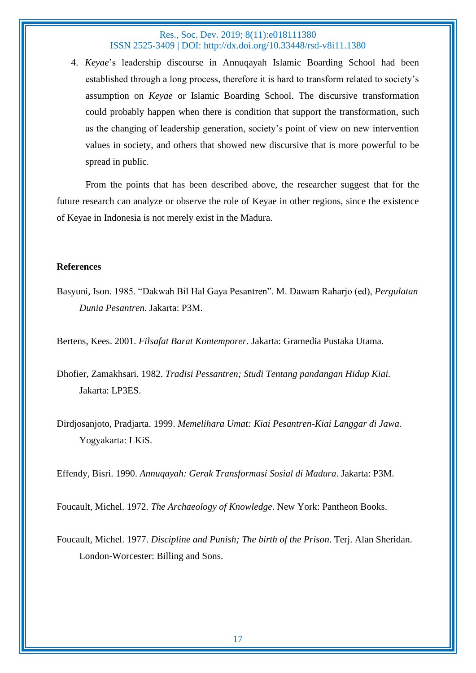4. *Keyae*'s leadership discourse in Annuqayah Islamic Boarding School had been established through a long process, therefore it is hard to transform related to society's assumption on *Keyae* or Islamic Boarding School. The discursive transformation could probably happen when there is condition that support the transformation, such as the changing of leadership generation, society's point of view on new intervention values in society, and others that showed new discursive that is more powerful to be spread in public.

From the points that has been described above, the researcher suggest that for the future research can analyze or observe the role of Keyae in other regions, since the existence of Keyae in Indonesia is not merely exist in the Madura.

#### **References**

Basyuni, Ison. 1985. "Dakwah Bil Hal Gaya Pesantren". M. Dawam Raharjo (ed), *Pergulatan Dunia Pesantren.* Jakarta: P3M.

Bertens, Kees. 2001. *Filsafat Barat Kontemporer*. Jakarta: Gramedia Pustaka Utama.

Dhofier, Zamakhsari. 1982. *Tradisi Pessantren; Studi Tentang pandangan Hidup Kiai.*  Jakarta: LP3ES.

Dirdjosanjoto, Pradjarta. 1999. *Memelihara Umat: Kiai Pesantren-Kiai Langgar di Jawa.*  Yogyakarta: LKiS.

Effendy, Bisri. 1990. *Annuqayah: Gerak Transformasi Sosial di Madura*. Jakarta: P3M.

Foucault, Michel. 1972. *The Archaeology of Knowledge*. New York: Pantheon Books.

Foucault, Michel. 1977. *Discipline and Punish; The birth of the Prison*. Terj. Alan Sheridan. London-Worcester: Billing and Sons.